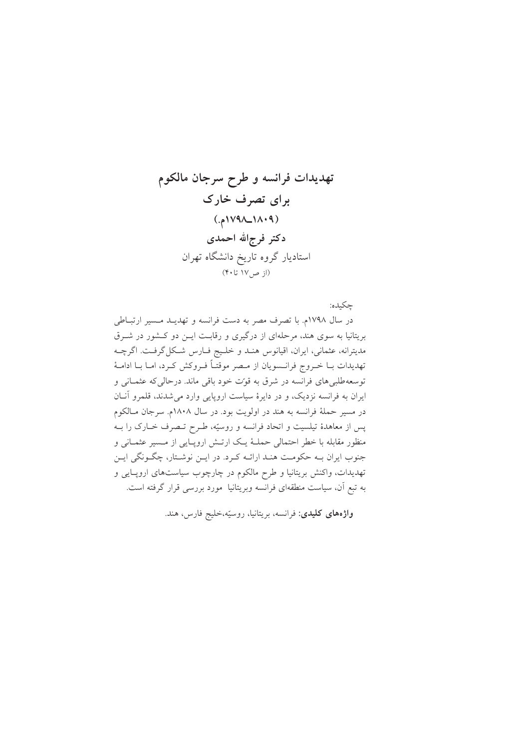چکىدە:

در سال ۱۷۹۸م. با تصرف مصر به دست فرانسه و تهدیـد مـسیر ارتبـاطی بریتانیا به سوی هند، مرحلهای از درگیری و رقابت ایـن دو کـشور در شـرق مدیترانه، عثمانی، ایران، اقیانوس هنـد و خلـیج فـارس شـكلگرفـت. اگرچــه تهدیدات بــا خــروج فرانــسویان از مــصر موقتــاً فــروکش کــرد، امــا بــا ادامــهٔ توسعهطلبیهای فرانسه در شرق به قوت خود باقی ماند. درحالی که عثمـانی و ایران به فرانسه نزدیک، و در دایرهٔ سیاست اروپایی وارد می شدند، قلمرو آنان در مسیر حملهٔ فرانسه به هند در اولویت بود. در سال ۱۸۰۸م. سرجان مـالکوم پس از معاهدهٔ تیلسیت و اتحاد فرانسه و روسیّه، طـرح تـصرف خــارک را بــه منظور مقابله با خطر احتمالی حملـهٔ یـک ارتـش اروپـایی از مـسیر عثمـانی و جنوب ایران بـه حکومـت هنـد ارائـه کـرد. در ایـن نوشـتار، چگـونگي ايـن تهدیدات، واکنش بریتانیا و طرح مالکوم در چارچوب سیاستهای اروپایی و به تبع آن، سیاست منطقهای فرانسه وبریتانیا مورد بررسی قرار گرفته است.

واژههای کلیدی: فرانسه، بریتانیا، روسیّه،خلیج فارس، هند.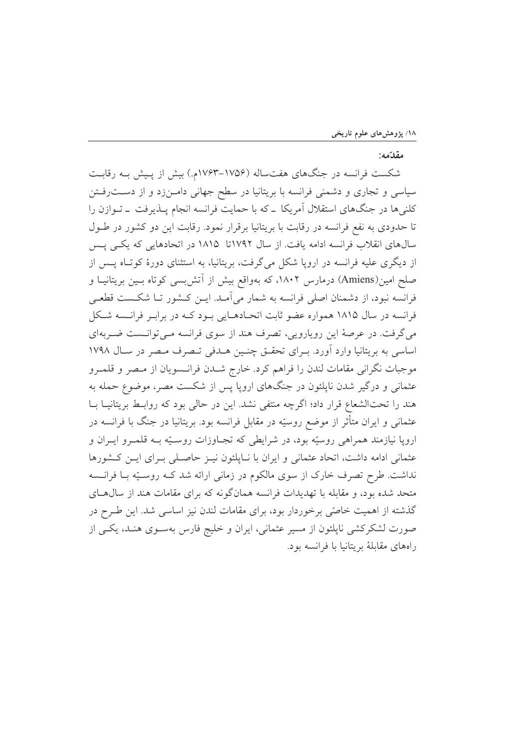## مقدّمه:

شکست فرانسه در جنگهای هفتساله (۱۷۵۶–۱۷۶۳م.) بیش از پـیش بــه رقابـت سیاسی و تجاری و دشمنی فرانسه با بریتانیا در سطح جهانی دامـنزد و از دسـترفـتن کلنیها در جنگهای استقلال آمریکا ـ که با حمایت فرانسه انجام پـذیرفت ـ تـوازن را تا حدودی به نفع فرانسه در رقابت با بریتانیا برقرار نمود. رقابت این دو کشور در طـول سالهای انقلاب فرانسه ادامه یافت. از سال ۱۷۹۲تا ۱۸۱۵ در اتحادهایی که یکی پس از دیگری علیه فرانسه در اروپا شکل میگرفت، بریتانیا، به استثنای دورهٔ کوتاه پس از صلح امین(Amiens) درمارس ۱۸۰۲، که بهواقع بیش از آتشبسی کوتاه بـین بریتانیــا و فرانسه نبود، از دشمنان اصلی فرانسه به شمار می آمـد. ایــن کــشور تــا شکــست قطعــی فرانسه در سال ۱۸۱۵ همواره عضو ثابت اتحـادهـایی بـود کـه در برابـر فرانـسه شـکل می گرفت. در عرصهٔ این رویارویی، تصرف هند از سوی فرانسه مـیتوانـست ضـربهای اساسی به بریتانیا وارد آورد. بـرای تحقـق چنـین هـدفی تـصرف مـصر در سـال ۱۷۹۸ موجبات نگرانی مقامات لندن را فراهم کرد. خارج شــدن فرانــسويان از مـصر و قلمــرو عثمانی و درگیر شدن نایلئون در جنگهای اروپا پس از شکست مصر، موضوع حمله به هند را تحتالشعاع قرار داد؛ اگرچه منتفی نشد. این در حالی بود که روابط بریتانیـا بـا عثمانی و ایران متأثر از موضع روسیّه در مقابل فرانسه بود. بریتانیا در جنگ با فرانسه در اروپا نیازمند همراهی روسیّه بود، در شرایطی که تجـاوزات روسـیّه بــه قلمــرو ایــران و عثمانی ادامه داشت، اتحاد عثمانی و ایران با نـاپلئون نیــز حاصـلی بــرای ایــن کــشورها نداشت. طرح تصرف خارک از سوی مالکوم در زمانی ارائه شد کـه روسـیّه بـا فرانـسه متحد شده بود، و مقابله با تهدیدات فرانسه همانگونه که برای مقامات هند از سال هـای گذشته از اهمیت خاصّی برخوردار بود، برای مقامات لندن نیز اساسی شد. این طـرح در صورت لشکرکشی ناپلئون از مسیر عثمانی، ایران و خلیج فارس بهسـوی هنـد، یکـی از راههای مقابلهٔ بریتانیا با فرانسه بود.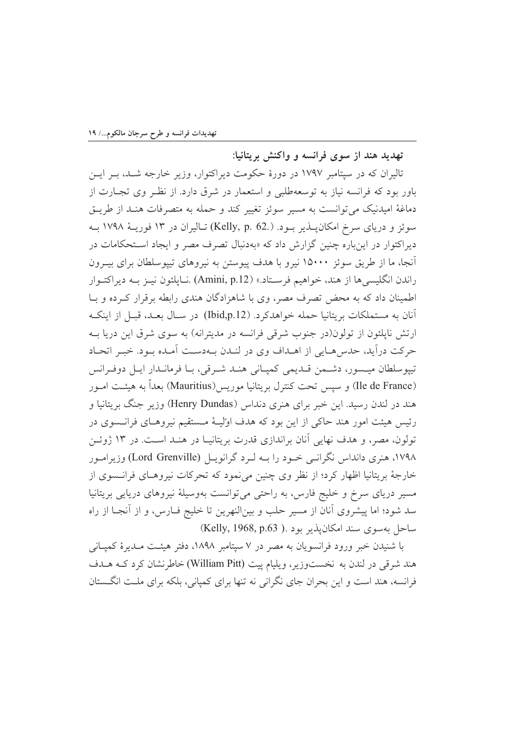تهدید هند از سوی فرانسه و واکنش بریتانیا:

تالیران که در سپتامبر ۱۷۹۷ در دورهٔ حکومت دیراکتوار، وزیر خارجه شــد، بــر ایــن باور بود که فرانسه نیاز به توسعهطلبی و استعمار در شرق دارد. از نظـر وی تجــارت از دماغهٔ امیدنیک می توانست به مسیر سوئز تغییر کند و حمله به متصرفات هنـد از طریــق سوئز و دریای سرخ امکان پــذیر بــود. (.Kelly, p. 62) تــالیران در ۱۳ فوریــهٔ ۱۷۹۸ بــه دیراکتوار در اینباره چنین گزارش داد که «بهدنبال تصرف مصر و ایجاد استحکامات در آنجا، ما از طریق سوئز ۱۵۰۰۰ نیرو با هدف پیوستن به نیروهای تپیوسلطان برای بیــرون راندن انگلیسیها از هند، خواهیم فرستاد.» (Amini, p.12) .نـایلئون نیـز بــه دیراکتــوار اطمینان داد که به محض تصرف مصر، وی با شاهزادگان هندی رابطه برقرار کـرده و بــا آنان به مستملکات بریتانیا حمله خواهدکرد. (Ibid,p.12) در سـال بعـد، قبـل از اینکـه ارتش ناپلئون از تولون(در جنوب شرقی فرانسه در مدیترانه) به سوی شرق این دریا بـه حركت درآيد، حدسهايي از اهـداف وي در لنـدن بــهدسـت أمـده بــود. خبــر اتحــاد تيپوسلطان ميـسور، دشـمن قـديمي كمپـاني هنـد شـرقي، بـا فرمانـدار ايـل دوفـرانس (Ile de France) و سپس تحت كنترل بريتانيا موريس(Mauritius) بعداً به هيئــت امــور هند در لندن رسید. این خبر برای هنری دنداس (Henry Dundas) وزیر جنگ بریتانیا و رئيس هيئت امور هند حاكي از اين بود كه هدف اوليــهٔ مــستقيم نيروهــاي فرانــسوي در تولون، مصر، و هدف نهایی آنان براندازی قدرت بریتانیـا در هنـد اسـت. در ۱۳ ژوئــن ۱۷۹۸، هنری دانداس نگرانبی خبود را بــه لـرد گرانویــل (Lord Grenville) وزیرامــور خارجهٔ بریتانیا اظهار کرد؛ از نظر وی چنین می نمود که تحرکات نیروهـای فرانـسوی از مسیر دریای سرخ و خلیج فارس، به راحتی می توانست بهوسیلهٔ نیروهای دریایی بریتانیا سد شود؛ اما پیشروی آنان از مسیر حلب و بینالنهرین تا خلیج فــارس، و از آنجــا از راه ساحل بهسوى سند امكان يذير بود .( Kelly, 1968, p.63)

با شنیدن خبر ورود فرانسویان به مصر در ۷ سپتامبر ۱۸۹۸، دفتر هیئت مـدیرهٔ کمپـانمی هند شرقی در لندن به نخستوزیر، ویلیام پیت (William Pitt) خاطرنشان کرد کـه هــدف فرانسه، هند است و این بحران جای نگرانی نه تنها برای کمپانی، بلکه برای ملت انگستان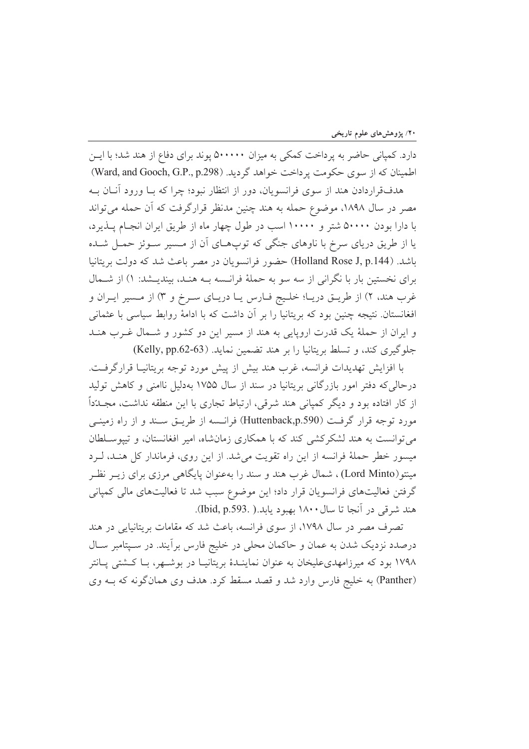دارد. کمپانی حاضر به پرداخت کمکی به میزان ۵۰۰۰۰۰ پوند برای دفاع از هند شد؛ با ایــن اطمینان که از سوی حکومت پر داخت خواهد گردید. (Ward, and Gooch, G.P., p.298)

هدفقراردادن هند از سوی فرانسویان، دور از انتظار نبود؛ چرا که بـا ورود آنــان بــه مصر در سال ۱۸۹۸، موضوع حمله به هند چنین مدنظر قرارگرفت که آن حمله می تواند با دارا بودن ۵۰۰۰۰ شتر و ۱۰۰۰۰ اسب در طول چهار ماه از طریق ایران انجام پـذیرد، یا از طریق دریای سرخ با ناوهای جنگی که توپهـای آن از مـسیر سـوئز حمـل شـده باشد. (Holland Rose J, p.144) حضور فرانسويان در مصر باعث شد كه دولت بريتانيا برای نخستین بار با نگرانی از سه سو به حملهٔ فرانسه بـه هنـد، بیندیـشد: ۱) از شــمال غرب هند، ۲) از طريــق دريــا؛ خلـيج فــارس يــا دريــاي ســرخ و ۳) از مــسير ايــران و افغانستان. نتیجه چنین بود که بریتانیا را بر آن داشت که با ادامهٔ روابط سیاسی با عثمانی و ایران از حملهٔ یک قدرت اروپایی به هند از مسیر این دو کشور و شـمال غـرب هنـد جلوگیری کند، و تسلط بریتانیا را بر هند تضمین نماید. (Kelly, pp.62-63)

با افزایش تهدیدات فرانسه، غرب هند بیش از پیش مورد توجه بریتانیـا قرارگرفـت. درحالي كه دفتر امور بازرگاني بريتانيا در سند از سال ۱۷۵۵ بهدليل ناامني و كاهش توليد از کار افتاده بود و دیگر کمپانی هند شرقی، ارتباط تجاری با این منطقه نداشت، مجــدّداً مورد توجه قرار گرفت (Huttenback,p.590) فرانسه از طریــق سـند و از راه زمینــی می توانست به هند لشکرکشی کند که با همکاری زمانشاه، امیر افغانستان، و تیپوسلطان میسور خطر حملهٔ فرانسه از این راه تقویت میشد. از این روی، فرماندار کل هنـد، لـرد مینتو(Lord Minto)، شمال غرب هند و سند را بهعنوان پایگاهی مرزی برای زیــر نظــر گرفتن فعالیتهای فرانسویان قرار داد؛ این موضوع سبب شد تا فعالیتهای مالی کمپانی هند شرقي در آنجا تا سال ۱۸۰۰ بهبود يابد.( .(Ibid, p.593).

تصرف مصر در سال ۱۷۹۸، از سوی فرانسه، باعث شد که مقامات بریتانیایی در هند درصدد نزدیک شدن به عمان و حاکمان محلی در خلیج فارس برآیند. در سـپتامبر سـال ۱۷۹۸ بود که میرزامهدی علیخان به عنوان نماینـدهٔ بریتانیـا در بوشـهر، بـا کـشتی پـانتر (Panther) به خلیج فارس وارد شد و قصد مسقط کرد. هدف وی همانگونه که بـه وی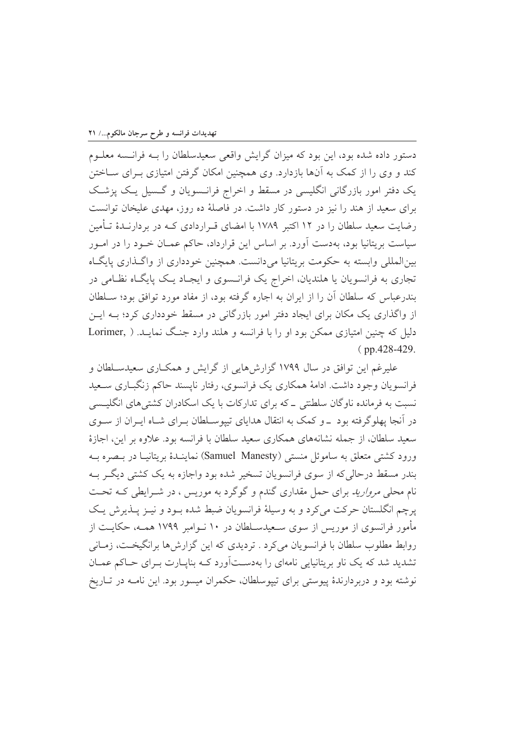دستور داده شده بود، این بود که میزان گرایش واقعی سعیدسلطان را بــه فرانــسه معلــوم کند و وی را از کمک به آنها بازدارد. وی همچنین امکان گرفتن امتیازی بـرای ســاختن یک دفتر امور بازرگانی انگلیسی در مسقط و اخراج فرانسویان و گسیل یک پزشک برای سعید از هند را نیز در دستور کار داشت. در فاصلهٔ ده روز، مهدی علیخان توانست رضایت سعید سلطان را در ۱۲ اکتبر ۱۷۸۹ با امضای قـراردادی کـه در بردارنـدهٔ تـأمین سیاست بریتانیا بود، بهدست آورد. بر اساس این قرارداد، حاکم عمـان خـود را در امـور بین|لمللی وابسته به حکومت بریتانیا می دانست. همچنین خودداری از واگـذاری پایگـاه تجاري به فرانسويان يا هلنديان، اخراج يک فرانـسوي و ايجـاد يـک پايگـاه نظـامي در بندرعباس که سلطان آن را از ایران به اجاره گرفته بود، از مفاد مورد توافق بود؛ سـلطان از واگذاری یک مکان برای ایجاد دفتر امور بازرگانی در مسقط خودداری کرد؛ بـه ایــن دلیل که چنین امتیازی ممکن بود او را با فرانسه و هلند وارد جنگ نمایـد. ( ,Lorimer  $(pp.428-429.$ 

علیرغم این توافق در سال ۱۷۹۹ گزارشهایی از گرایش و همکـاری سعیدسـلطان و فرانسویان وجود داشت. ادامهٔ همکاری یک فرانسوی، رفتار نایسند حاکم زنگباری سـعید نسبت به فرمانده ناوگان سلطنتی \_ که برای تدارکات با یک اسکادران کشتی های انگلیسی در آنجا پهلوگرفته بود \_و کمک به انتقال هدایای تیپوسـلطان بـرای شـاه ایـران از سـوی سعید سلطان، از جمله نشانههای همکاری سعید سلطان با فرانسه بود. علاوه بر این، اجازهٔ ورود كشتى متعلق به ساموئل منستى (Samuel Manesty) نماينـدۀ بريتانيـا در بـصره بـه بندر مسقط درحالی که از سوی فرانسویان تسخیر شده بود واجازه به یک کشتی دیگـر بــه نام محلی *مروارید* برای حمل مقداری گندم و گوگرد به موریس ، در شـرایطی کـه تحـت پرچم انگلستان حرکت میکرد و به وسیلهٔ فرانسویان ضبط شده بـود و نیـز پــذیرش یـک مأمور فرانسوی از موریس از سوی سـعیدسـلطان در ۱۰ نــوامبر ۱۷۹۹ همــه، حکایــت از روابط مطلوب سلطان با فرانسویان میکرد . تردیدی که این گزارش ها برانگیخت، زمـانی تشدید شد که یک ناو بریتانیایی نامهای را بهدستآورد کـه بناپـارت بـرای حـاکم عمـان نوشته بود و دربردارندهٔ پیوستی برای تپیوسلطان، حکمران میسور بود. این نامـه در تــاریخ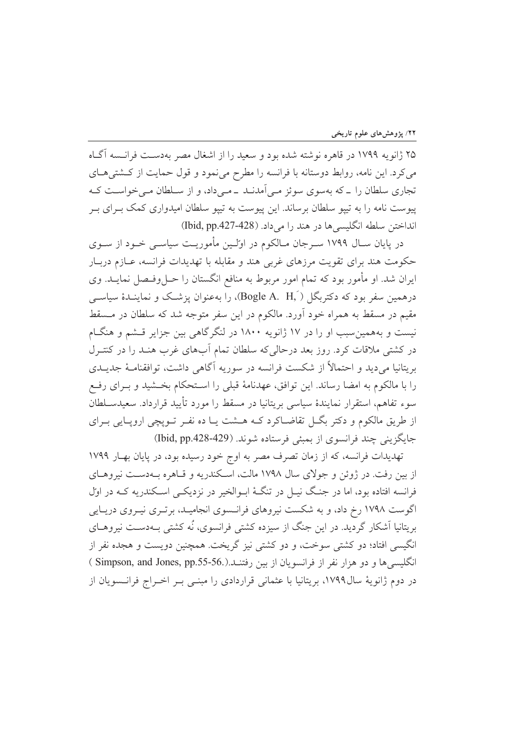۲۵ ژانویه ۱۷۹۹ در قاهره نوشته شده بود و سعید را از اشغال مصر بهدست فرانسه آگIه می کرد. این نامه، روابط دوستانه با فرانسه را مطرح می نمود و قول حمایت از کشتی هـای تجاری سلطان را ــ که بهسوی سوئز مــی آمدنــد ــ مــی داد، و از ســلطان مــی خواســت کــه پیوست نامه را به تپیو سلطان برساند. این پیوست به تپیو سلطان امیدواری کمک بـرای بـر انداختن سلطه انگلیسی ها در هند را می داد. (128-127-10id, pp.427)

در پایان سـال ۱۷۹۹ سـرجان مـالکوم در اولـین مأموریـت سیاسـی خـود از سـوی حکومت هند برای تقویت مرزهای غربی هند و مقابله با تهدیدات فرانسه، عــازم دربــار ایران شد. او مأمور بود که تمام امور مربوط به منافع انگستان را حــلوفــصل نمایــد. وی درهمین سفر بود که دکتربگل (Bogle A. H, )، را بهعنوان پزشک و نماینــدهٔ سیاســی مقیم در مسقط به همراه خود آورد. مالکوم در این سفر متوجه شد که سلطان در مـسقط نیست و بههمین سبب او را در ۱۷ ژانویه ۱۸۰۰ در لنگرگاهی بین جزایر قــشم و هنگــام در کشتی ملاقات کرد. روز بعد درحالی که سلطان تمام آبهای غرب هنـد را در کنتـرل بریتانیا میدید و احتمالاً از شکست فرانسه در سوریه آگاهی داشت، توافقنامـهٔ جدیـدی را با مالکوم به امضا رساند. این توافق، عهدنامهٔ قبلی را اسـتحکام بخــشید و بــرای رفــع سوءِ تفاهم، استقرار نمايندهٔ سياسي بريتانيا در مسقط را مورد تأييد قرارداد. سعيدسـلطان از طريق مالكوم و دكتر بگــل تقاضــاكرد كــه هــشت يــا ده نفــر تــويچى ارويــايى بــراي جايگزيني چند فرانسوي از بمبئي فرستاده شوند. (Ibid, pp.428-429)

تهدیدات فرانسه، که از زمان تصرف مصر به اوج خود رسیده بود، در پایان بهبار ۱۷۹۹ از بین رفت. در ژوئن و جولای سال ۱۷۹۸ مالت، اسکندریه و قـاهره بــهدسـت نیروهــای فرانسه افتاده بود، اما در جنگ نیـل در تنگـهٔ ابـوالخیر در نزدیکـی اسـکندریه کـه در اول اگوست ۱۷۹۸ رخ داد، و به شکست نیروهای فرانسوی انجامیـد، برتـری نیـروی دریـایی بریتانیا اَشکار گردید. در این جنگ از سیزده کشتی فرانسوی، نُه کشتی بـهدســت نیروهــای انگیسی افتاد؛ دو کشتی سوخت، و دو کشتی نیز گریخت. همچنین دویست و هجده نفر از انگلیسی ها و دو هزار نفر از فرانسویان از بین رفتنـد.(Simpson, and Jones, pp.55-56.) در دوم ژانویهٔ سال۱۷۹۹، بریتانیا با عثمانی قراردادی را مبنـی بـر اخـراج فرانــسویان از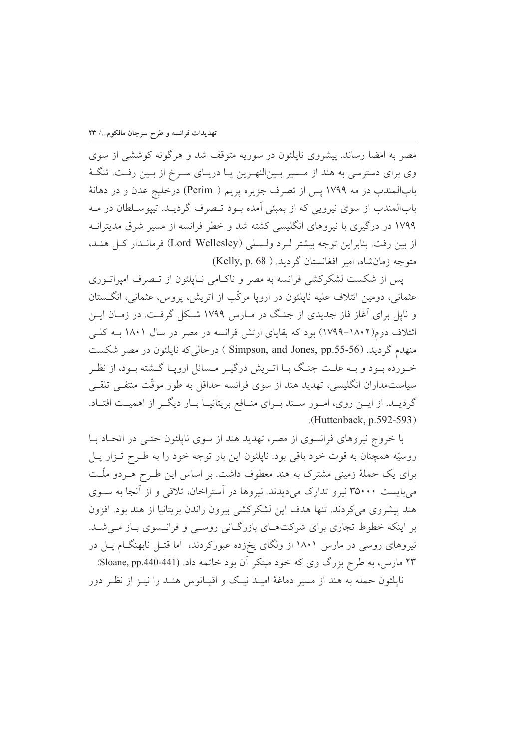مصر به امضا رساند. پیشروی ناپلئون در سوریه متوقف شد و هرگونه کوششی از سوی وی برای دسترسی به هند از مـسیر بـینالنهـرین یـا دریـای سـرخ از بـین رفـت. تنگـهٔ بابالمندب در مه ۱۷۹۹ پس از تصرف جزیره پریم ( Perim) درخلیج عدن و در دهانهٔ بابالمندب از سوی نیرویی که از بمبئی آمده بود تـصرف گردیـد. تیپوسـلطان در مـه ۱۷۹۹ در درگیری با نیروهای انگلیسی کشته شد و خطر فرانسه از مسیر شرق مدیترانـه از بين رفت. بنابراين توجه بيشتر لـرد ولـسلي (Lord Wellesley) فرمانـدار كـل هنـد، متوجه زمان شاه، امير افغانستان گرديد. ( Kelly, p. 68)

یس از شکست لشکرکشی فرانسه به مصر و ناکـامی نـایلئون از تـصرف امیراتـوری عثمانی، دومین ائتلاف علیه ناپلئون در اروپا مرکّب از اتریش، پروس، عثمانی، انگستان و ناپل برای آغاز فاز جدیدی از جنگ در مـارس ۱۷۹۹ شـکل گرفـت. در زمـان ایــن ائتلاف دوم(۱۸۰۲–۱۷۹۹) بود که بقایای ارتش فرانسه در مصر در سال ۱۸۰۱ بـه کلـی منهدم گردید. (Simpson, and Jones, pp.55-56 ) درحالی که نایلئون در مصر شکست خـورده بـود و بــه علــت جنـگ بــا اتــريش درگيــر مــسائل ارويــا گــشته بــود، از نظــر سیاستمداران انگلیسی، تهدید هند از سوی فرانسه حداقل به طور موقّت منتفـی تلقـی گردیــد. از ایــن روی، امــور ســند بــرای منــافع بریتانیــا بــار دیگــر از اهمیــت افتــاد. .(Huttenback,  $p.592-593$ )

با خروج نیروهای فرانسوی از مصر، تهدید هند از سوی ناپلئون حتـی در اتحـاد بـا روسیّه همچنان به قوت خود باقی بود. ناپلئون این بار توجه خود را به طـرح تـزار پـل برای یک حملهٔ زمینی مشترک به هند معطوف داشت. بر اساس این طـرح هـردو ملّـت می بایست ۳۵۰۰۰ نیرو تدارک می دیدند. نیروها در آستراخان، تلاقی و از آنجا به سـوی هند پیشروی می کردند. تنها هدف این لشکرکشی بیرون راندن بریتانیا از هند بود. افزون بر اینکه خطوط تجاری برای شرکتهای بازرگانی روسی و فرانسوی باز میشد. نیروهای روسی در مارس ۱۸۰۱ از ولگای یخزده عبورکردند، اما قتـل نابهنگــام پــل در ۲۳ مارس، به طرح بزرگ وی که خود مبتکر آن بود خاتمه داد. (Sloane, pp.440-441) نایلئون حمله به هند از مسیر دماغهٔ امیـد نیـک و اقیـانوس هنـد را نیــز از نظــر دور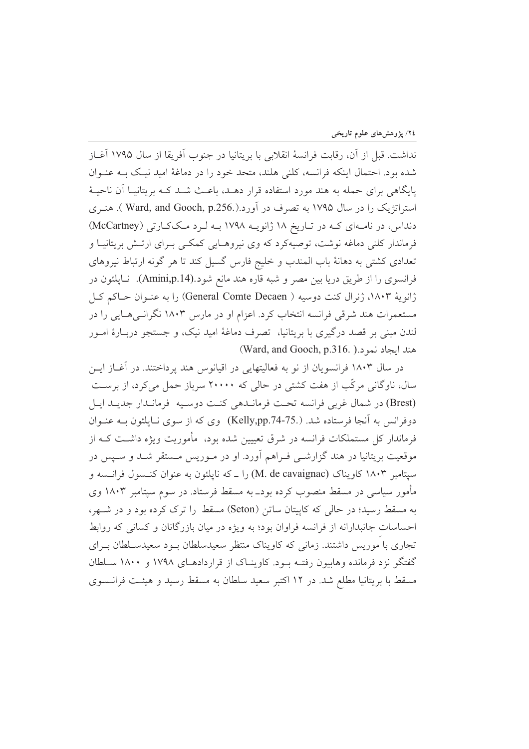نداشت. قبل از آن، رقابت فرانسهٔ انقلابی با بریتانیا در جنوب آفریقا از سال ۱۷۹۵ آغــاز شده بود. احتمال اینکه فرانسه، کلنی هلند، متحد خود را در دماغهٔ امید نیـک بــه عنــوان پایگاهی برای حمله به هند مورد استفاده قرار دهـد، باعـث شـد کـه بریتانیـا آن ناحیـهٔ استراتژیک را در سال ۱۷۹۵ به تصرف در آورد.(.Ward, and Gooch, p.256 ). هنــری دنداس، در نامهای که در تاریخ ۱۸ ژانویـه ۱۷۹۸ بـه لـرد مککارتی (McCartney) فرماندار کلنی دماغه نوشت، توصیهکرد که وی نیروهـایی کمکـی بـرای ارتـش بریتانیـا و تعدادی کشتی به دهانهٔ باب المندب و خلیج فارس گسیل کند تا هر گونه ارتباط نیروهای فرانسوی را از طریق دریا بین مصر و شبه قاره هند مانع شود.(Amini,p.14). نـاپلئون در ژانویهٔ ۱۸۰۳، ژنرال کنت دوسیه ( General Comte Decaen) را به عنـوان حــاکم کــل مستعمرات هند شرقی فرانسه انتخاب کرد. اعزام او در مارس ۱۸۰۳ نگرانسی هـایی را در لندن مبنی بر قصد درگیری با بریتانیا، تصرف دماغهٔ امید نیک، و جستجو دربـارهٔ امـور (Ward, and Gooch, p.316. ). منذ ايجاد نمو د

در سال ۱۸۰۳ فرانسویان از نو به فعالیتهایی در اقیانوس هند پرداختند. در آغــاز ایــن سال، ناوگانی مرکّب از هفت کشتی در حالی که ۲۰۰۰۰ سرباز حمل می کرد، از برسـت (Brest) در شمال غربی فرانسه تحت فرمانـدهی كنـت دوسـيه فرمانـدار جديـد ايـل دوفرانس به آنجا فرستاده شد. (Kelly,pp.74-75.) وی که از سوی نـایلئون بـه عنـوان فرماندار کل مستملکات فرانسه در شرق تعییین شده بود، مأموریت ویژه داشـت کــه از موقعیت بریتانیا در هند گزارشــی فــراهم آورد. او در مــوریس مــستقر شــد و ســیس در سپتامبر ۱۸۰۳ کاویناک (M. de cavaignac) را ـ که ناپلئون به عنوان کنــسول فرانــسه و مأمور سیاسی در مسقط منصوب کرده بودـ به مسقط فرستاد. در سوم سپتامبر ۱۸۰۳ وی به مسقط رسید؛ در حالی که کاییتان ساتن (Seton) مسقط را ترک کرده بود و در شـهر، احساسات جانبدارانه از فرانسه فراوان بود؛ به ویژه در میان بازرگانان و کسانی که روابط تجاری با موریس داشتند. زمانی که کاویناک منتظر سعیدسلطان بود سعیدسـلطان بـرای گفتگو نزد فرمانده وهابیون رفتـه بـود. كاوینـاک از قراردادهـای ۱۷۹۸ و ۱۸۰۰ سـلطان مسقط با بریتانیا مطلع شد. در ۱۲ اکتبر سعید سلطان به مسقط رسید و هیئـت فرانـسوی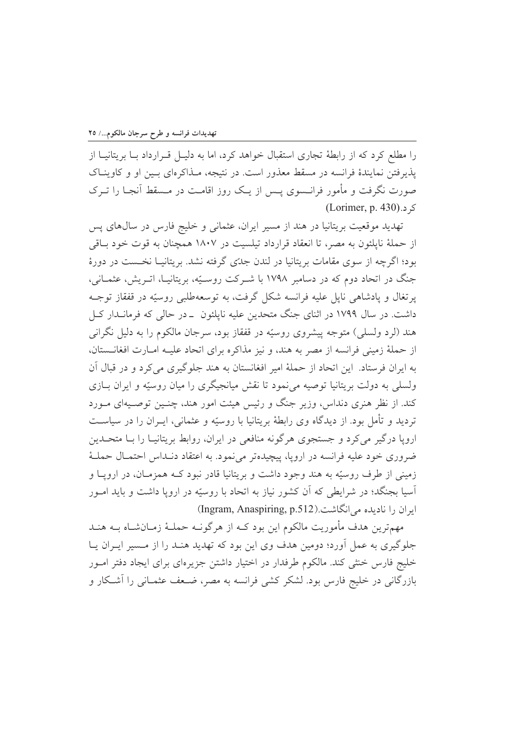را مطلع کرد که از رابطهٔ تجاری استقبال خواهد کرد، اما به دلیـل قـرارداد بـا بریتانیـا از یذیرفتن نمایندهٔ فرانسه در مسقط معذور است. در نتیجه، مـذاکرهای بـین او و کاوینـاک صورت نگرفت و مأمور فرانسوی پس از یک روز اقامت در مسقط آنجـا را تـرک ک د.(Lorimer, p. 430)

تهدید موقعیت بریتانیا در هند از مسیر ایران، عثمانی و خلیج فارس در سال های پس از حملهٔ ناپلئون به مصر، تا انعقاد قرارداد تیلسیت در ۱۸۰۷ همچنان به قوت خود باقی بود؛ اگرچه از سوی مقامات بریتانیا در لندن جدّی گرفته نشد. بریتانیــا نخــست در دورهٔ جنگ در اتحاد دوم که در دسامبر ۱۷۹۸ با شـرکت روسـیّه، بریتانیـا، اتـریش، عثمـانی، پرتغال و یادشاهی نایل علیه فرانسه شکل گرفت، به توسعهطلبی روسیّه در قفقاز توجـه داشت. در سال ۱۷۹۹ در اثنای جنگ متحدین علیه ناپلئون \_در حالی که فرمانــدار کــل هند (لرد ولسلبي) متوجه پیشروی روسیّه در قفقاز بود، سرجان مالکوم را به دلیل نگرانبی از حملهٔ زمینی فرانسه از مصر به هند، و نیز مذاکره برای اتحاد علیـه امـارت افغانــستان، به ایران فرستاد. این اتحاد از حملهٔ امیر افغانستان به هند جلوگیری میکرد و در قبال آن ولسلمی به دولت بریتانیا توصیه میiمود تا نقش میانجیگری را میان روسیّه و ایران بـازی کند. از نظر هنری دنداس، وزیر جنگ و رئیس هیئت امور هند، چنـین توصـیهای مـورد تردید و تأمل بود. از دیدگاه وی رابطهٔ بریتانیا با روسیّه و عثمانی، ایـران را در سیاسـت اروپا درگیر می کرد و جستجوی هرگونه منافعی در ایران، روابط بریتانیـا را بــا متحــدین ضروری خود علیه فرانسه در اروپا، پیچیدهتر می نمود. به اعتقاد دنـداس احتمـال حملـهٔ زمینی از طرف روسیّه به هند وجود داشت و بریتانیا قادر نبود کــه همزمــان، در ارویــا و آسیا بجنگد؛ در شرایطی که آن کشور نیاز به اتحاد با روسیّه در اروپا داشت و باید امـور ابران را نادیده می انگاشت.(Ingram, Anaspiring, p.512)

مهمترین هدف مأموریت مالکوم این بود کـه از هرگونـه حملـهٔ زمـانشـاه بــه هنــد جلوگیری به عمل آورد؛ دومین هدف وی این بود که تهدید هنـد را از مـسیر ایـران یـا خلیج فارس خنثی کند. مالکوم طرفدار در اختیار داشتن جزیرهای برای ایجاد دفتر امـور بازرگانی در خلیج فارس بود. لشکر کشی فرانسه به مصر، ضـعف عثمـانی را آشـکار و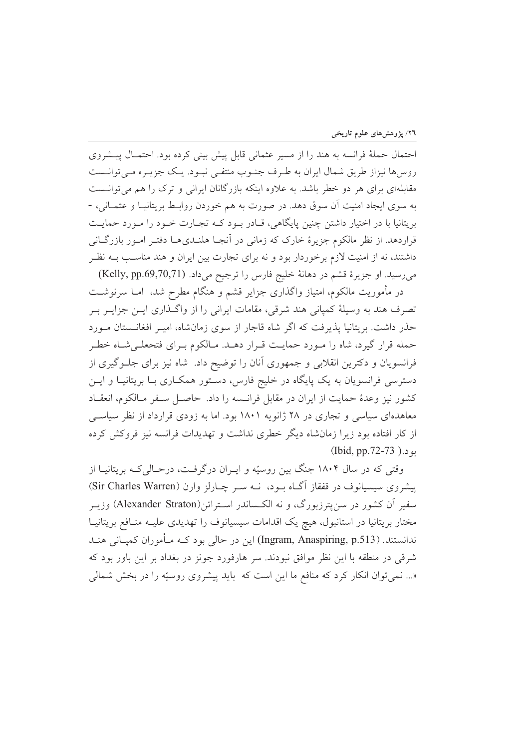احتمال حملهٔ فرانسه به هند را از مسیر عثمانی قابل پیش بینی کرده بود. احتمـال پیـشروی روس۵ا نیزاز طریق شمال ایران به طـرف جنـوب منتفـی نبـود. یـک جزیـره مـیتوانــست مقابلهای برای هر دو خطر باشد. به علاوه اینکه بازرگانان ایرانی و ترک را هم می توانست به سوی ایجاد امنیت آن سوق دهد. در صورت به هم خوردن روابـط بریتانیـا و عثمـانی، -بریتانیا با در اختیار داشتن چنین پایگاهی، قـادر بـود کـه تجـارت خـود را مـورد حمایـت قراردهد. از نظر مالکوم جزیرهٔ خارک که زمانی در آنجـا هلنـدیهـا دفتـر امـور بازرگــانی داشتند، نه از امنیت لازم برخوردار بود و نه برای تجارت بین ایران و هند مناسب بـه نظـر می رسید. او جزیرهٔ قشم در دهانهٔ خلیج فارس را ترجیح میداد. (Kelly, pp.69,70,71)

در مأموریت مالکوم، امتیاز واگذاری جزایر قشم و هنگام مطرح شد، امــا سرنوشــت تصرف هند به وسیلهٔ کمپانی هند شرقی، مقامات ایرانی را از واگـذاری ایــن جزایــر بــر حذر داشت. بریتانیا پذیرفت که اگر شاه قاجار از سوی زمانشاه، امیـر افغانــستان مــورد حمله قرار گیرد، شاه را مورد حمایت قـرار دهـد. مـالکوم بـراي فتحعلـيشـاه خطـر فرانسویان و دکترین انقلابی و جمهوری آنان را توضیح داد. شاه نیز برای جلـوگیری از دسترسی فرانسویان به یک پایگاه در خلیج فارس، دسـتور همکـاری بـا بریتانیـا و ایــن كشور نيز وعدة حمايت از ايران در مقابل فرانــسه را داد. حاصــل ســفر مــالكوم، انعقــاد معاهدهای سیاسی و تجاری در ۲۸ ژانویه ۱۸۰۱ بود. اما به زودی قرارداد از نظر سیاسی از کار افتاده بود زیرا زمان شاه دیگر خطری نداشت و تهدیدات فرانسه نیز فروکش کرده بو د.( 15-72-73).

وقتی که در سال ۱۸۰۴ جنگ بین روسیّه و ایـران درگرفـت، درحـالی کـه بریتانیـا از پیشروی سیسیانوف در قفقاز آگـاه بـود، نــه سـر چـارلز وارن (Sir Charles Warren) سفیر آن کشور در سن پترزبورگ، و نه الکـساندر اسـتراتن(Alexander Straton) وزیــر مختار بریتانیا در استانبول، هیچ یک اقدامات سیسیانوف را تهدیدی علیـه منـافع بریتانیـا ندانستند. (Ingram, Anaspiring, p.513) این در حالی بود کـه مـأموران کمیـانی هنـد شرقی در منطقه با این نظر موافق نبودند. سر هارفورد جونز در بغداد بر این باور بود که «... نمي توان انكار كرد كه منافع ما اين است كه بايد پيشروي روسيّه را در بخش شمالي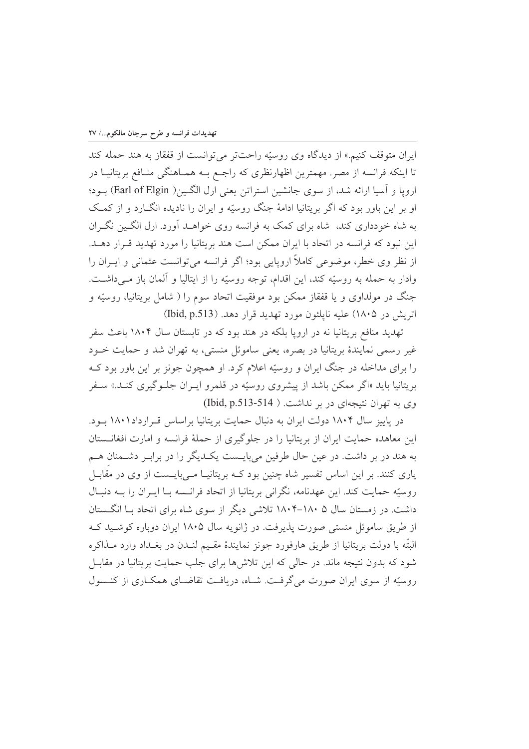ایران متوقف کنیم.» از دیدگاه وی روسیّه راحتتر می توانست از قفقاز به هند حمله کند تا اینکه فرانسه از مصر. مهمترین اظهارنظری که راجع بـه همـاهنگی منـافع بریتانیـا در ارويا و آسيا ارائه شد، از سوى جانشين استراتن يعني ارل الگـين( Earl of Elgin) بـود؛ او بر این باور بود که اگر بریتانیا ادامهٔ جنگ روسیّه و ایران را نادیده انگــارد و از کمــک به شاه خودداری کند، شاه برای کمک به فرانسه روی خواهــد آورد. ارل الگــین نگــران این نبود که فرانسه در اتحاد با ایران ممکن است هند بریتانیا را مورد تهدید قـرار دهـد. از نظر وی خطر، موضوعی کاملاً اروپایی بود؛ اگر فرانسه میتوانست عثمانی و ایـران را وادار به حمله به روسیّه کند، این اقدام، توجه روسیّه را از ایتالیا و آلمان باز مـیداشـت. جنگ در مولداوی و یا قفقاز ممکن بود موفقیت اتحاد سوم را ( شامل بریتانیا، روسیّه و اتریش در ۱۸۰۵) علیه ناپلئون مورد تهدید قرار دهد. (Ibid, p.513)

تهدید منافع بریتانیا نه در اروپا بلکه در هند بود که در تابستان سال ۱۸۰۴ باعث سفر غیر رسمی نمایندهٔ بریتانیا در بصره، یعنی ساموئل منستی، به تهران شد و حمایت خـود را برای مداخله در جنگ ایران و روسیّه اعلام کرد. او همچون جونز بر این باور بود کـه بریتانیا باید «اگر ممکن باشد از پیشروی روسیّه در قلمرو ایـران جلـوگیری کنـد.» سـفر وی به تهران نتیجهای در بر نداشت. ( Ibid, p.513-514)

در پاییز سال ۱۸۰۴ دولت ایران به دنبال حمایت بریتانیا براساس قـرارداد۱۸۰۱ بـود. این معاهده حمایت ایران از بریتانیا را در جلوگیری از حملهٔ فرانسه و امارت افغانــستان به هند در بر داشت. در عین حال طرفین میبایست یک دیگر را در براب ر دشمنان هـم یاری کنند. بر این اساس تفسیر شاه چنین بود کــه بریتانیــا مــیبایــست از وی در مقابــل روسيّه حمايت كند. اين عهدنامه، نگراني بريتانيا از اتحاد فرانــسه بــا ايــران را بــه دنبــال داشت. در زمستان سال ۱۸۰۵–۱۸۰۴ تلاشی دیگر از سوی شاه برای اتحاد بـا انگــستان از طريق ساموئل منستى صورت يذيرفت. در ژانويه سال ۱۸۰۵ ايران دوباره كوشـيد كـه البتّه با دولت بريتانيا از طريق هارفورد جونز نمايندهٔ مقـيم لنــدن در بغــداد وارد مــذاكره شود که بدون نتیجه ماند. در حالی که این تلاشها برای جلب حمایت بریتانیا در مقابـل روسیّه از سوی ایران صورت می گرفت. شـاه، دریافت تقاضـای همکـاری از کنـسول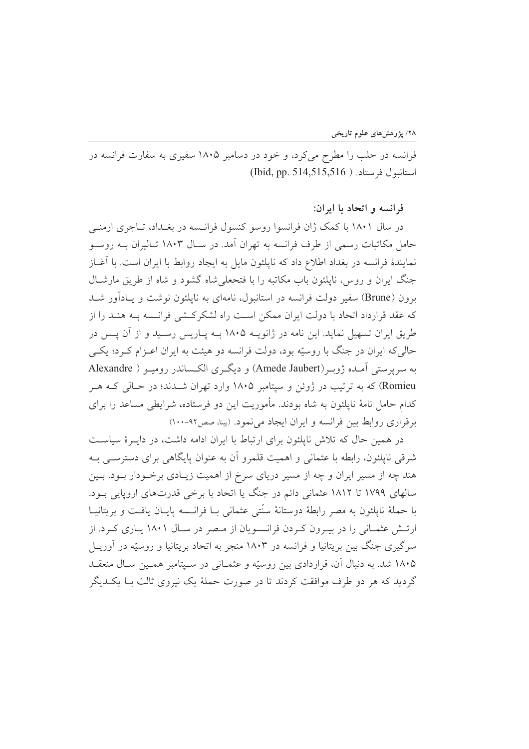فرانسه در حلب را مطرح میکرد، و خود در دسامبر ۱۸۰۵ سفیری به سفارت فرانسه در استانبول فرستاد. ( Ibid, pp. 514,515,516)

فرانسه و اتحاد با ايران:

در سال ۱۸۰۱ با کمک ژان فرانسوا روسو کنسول فرانـسه در بغـداد، تــاجری ارمنــی حامل مکاتبات رسمی از طرف فرانسه به تهران آمد. در سـال ۱۸۰۳ تـالیران بــه روســو نمایندهٔ فرانسه در بغداد اطلاع داد که ناپلئون مایل به ایجاد روابط با ایران است. با آغــاز جنگ ایران و روس، نایلئون باب مکاتبه را با فتحعلی شاه گشود و شاه از طریق مارشـال برون (Brune) سفير دولت فرانسه در استانبول، نامهاي به نايلئون نوشت و يـادآور شــد که عقد قرارداد اتحاد با دولت ایران ممکن است راه لشکرکشی فرانسه بـه هنـد را از طریق ایران تسهیل نماید. این نامه در ژانویـه ۱۸۰۵ بـه پـاریس رسـید و از آن پـس در حالي كه ايران در جنگ با روسيّه بود، دولت فرانسه دو هيئت به ايران اعـزام كـرد؛ يكـي په سربرستي آمـده ژويـر (Amede Jaubert) و ديگـري الكـساندر روميـو ( Alexandre Romieu) که به ترتیب در ژوئن و سیتامبر ۱۸۰۵ وارد تهران شــدند؛ در حــالی کــه هــر کدام حامل نامهٔ ناپلئون به شاه بودند. مأموریت این دو فرستاده، شرایطی مساعد را برای بر قراري روابط بين فرانسه و ايران ايجاد مي نمود. (بينا، صص٩٢-١٠٠)

در همین حال که تلاش ناپلئون برای ارتباط با ایران ادامه داشت، در دایــرهٔ سیاســت شرقی ناپلئون، رابطه با عثمانی و اهمیت قلمرو آن به عنوان پایگاهی برای دسترسبی بـه هند چه از مسیر ایران و چه از مسیر دریای سرخ از اهمیت زیـادی برخـودار بـود. بـین سالهای ۱۷۹۹ تا ۱۸۱۲ عثمانی دائم در جنگ یا اتحاد با برخی قدرتهای اروپایی بود. با حملهٔ ناپلئون به مصر رابطهٔ دوستانهٔ سنّتی عثمانی بـا فرانـسه پایـان یافـت و بریتانیـا ارتـش عثمـاني را در بيـرون كـردن فرانـسويان از مـصر در سـال ۱۸۰۱ يـاري كـرد. از سرگیری جنگ بین بریتانیا و فرانسه در ۱۸۰۳ منجر به اتحاد بریتانیا و روسیّه در آوریــل ۱۸۰۵ شد. به دنبال آن، قراردادی بین روسیّه و عثمـانی در سـیتامبر همـین سـال منعقـد گردید که هر دو طرف موافقت کردند تا در صورت حملهٔ یک نیروی ثالث بـا یکـدیگر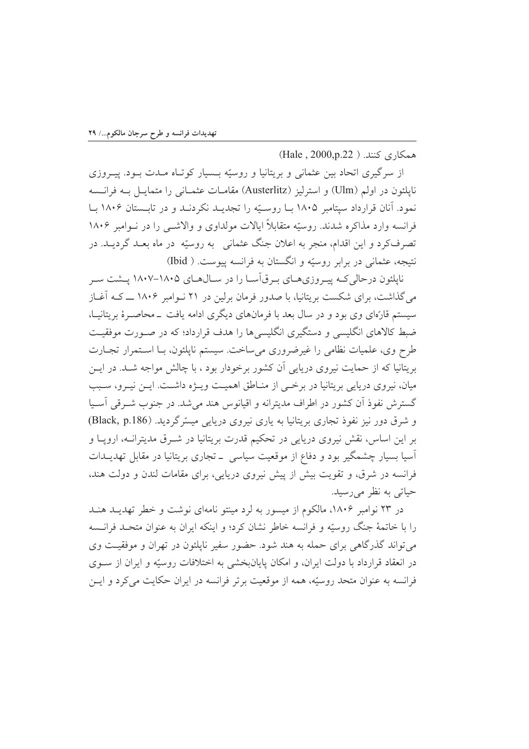همكاري كنند. ( Hale, 2000,p.22)

از سرگیری اتحاد بین عثمانی و بریتانیا و روسیّه بـسیار کوتـاه مـدت بـود. پیـروزی نايلئون در اولم (Ulm) و استرليز (Austerlitz) مقامـات عثمـاني را متمايـل بـه فرانـسه نمود. آنان قرارداد سیتامبر ۱۸۰۵ بـا روسـیّه را تجدیــد نکردنــد و در تابــستان ۱۸۰۶ بـا فرانسه وارد مذاکره شدند. روسیّه متقابلاً ایالات مولداوی و والاشبی را در نـوامبر ۱۸۰۶ تصرفکرد و این اقدام، منجر به اعلان جنگ عثمانی ِ به روسیّه ٍ در ماه بعـد گردیــد. در نتيجه، عثماني در برابر روسيّه و انگستان به فرانسه پيوست. ( Ibid)

نایلئون در حالی کــه پیــروزی۱هـای بـرق]ســا را در ســال۱۵۰۵ ــ۱۸۰۵ -۱۸۰۷ پــشت ســر می گذاشت، برای شکست بر بتانیا، با صدور فرمان برلین در ۲۱ نیوامبر ۱۸۰۶ ـــ کـه آغــاز سیستم قارّهای وی بود و در سال بعد با فرمانهای دیگری ادامه یافت ــ محاصــرهٔ بریتانیــا، ضبط کالاهای انگلیسی و دستگیری انگلیسیها را هدف قرارداد؛ که در صـورت موفقیـت طرح وي، علميات نظامي را غيرضروري مي ساخت. سيستم نايلئون، بــا اسـتمرار تجــارت بریتانیا که از حمایت نیروی دریایی آن کشور برخودار بود ، با چالش مواجه شـد. در ایــن میان، نیروی دریایی بریتانیا در برخمی از منـاطق اهمیـت ویـژه داشـت. ایـن نیـرو، سـبب گسترش نفوذ آن كشور در اطراف مديترانه و اقيانوس هند مي شد. در جنوب شـرقي آسـيا و شرق دور نیز نفوذ تجاری بریتانیا به پاری نیروی دریایی میسّرگردید. (Black, p.186) بر این اساس، نقش نیروی دریایی در تحکیم قدرت بریتانیا در شـرق مدیترانــه، اروپــا و اَسیا بسیار چشمگیر بود و دفاع از موقعیت سیاسی \_ تجاری بریتانیا در مقابل تهدیــدات فرانسه در شرق، و تقویت بیش از پیش نیروی دریایی، برای مقامات لندن و دولت هند، حیاتی به نظر می رسید.

در ۲۳ نوامبر ۱۸۰۶، مالکوم از میسور به لرد مینتو نامهای نوشت و خطر تهدیـد هنـد را با خاتمهٔ جنگ روسیّه و فرانسه خاطر نشان کرد؛ و اینکه ایران به عنوان متحـد فرانـسه می تواند گذرگاهی برای حمله به هند شود. حضور سفیر ناپلئون در تهران و موفقیت وی در انعقاد قرارداد با دولت ایران، و امکان پایانبخشی به اختلافات روسیّه و ایران از سـوی فرانسه به عنوان متحد روسیّه، همه از موقعیت برتر فرانسه در ایران حکایت می کرد و ایس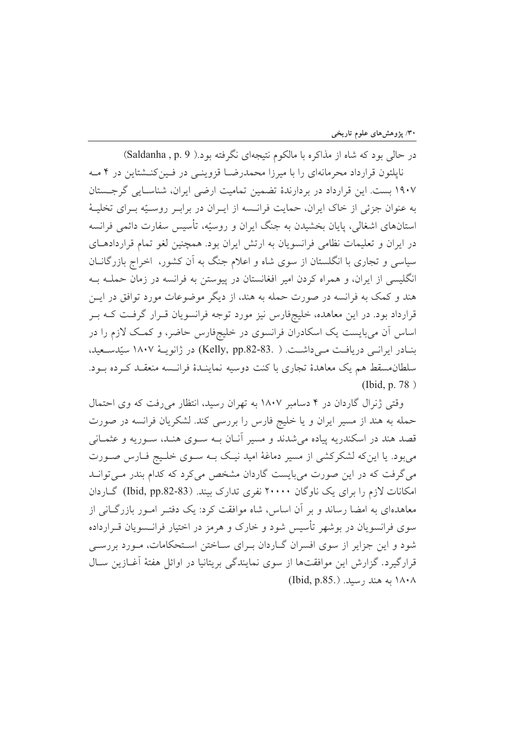در حالي بود كه شاه از مذاكره با مالكوم نتيجهاي نگرفته بود.( Saldanha , p. 9) ناپلئون قرارداد محرمانهای را با میرزا محمدرضـا قزوینـی در فـینکنــشتاین در ۴ مــه ۱۹۰۷ بست. این قرارداد در بردارندهٔ تضمین تمامیت ارضی ایران، شناسـایی گرجـستان به عنوان جزئي از خاک ايران، حمايت فرانــسه از ايــران در برابــر روســيّه بــراي تخليــهٔ استانهای اشغالی، پایان بخشیدن به جنگ ایران و روسیّه، تأسیس سفارت دائمی فرانسه در ایران و تعلیمات نظامی فرانسویان به ارتش ایران بود. همچنین لغو تمام قراردادهـای سیاسی و تجاری با انگلستان از سوی شاه و اعلام جنگ به آن کشور، اخراج بازرگانــان انگلیسی از ایران، و همراه کردن امیر افغانستان در پیوستن به فرانسه در زمان حملـه بـه هند و کمک به فرانسه در صورت حمله به هند، از دیگر موضوعات مورد توافق در ایـن قرارداد بود. در این معاهده، خلیجفارس نیز مورد توجه فرانسویان قـرار گرفـت کـه بـر اساس آن میبایست یک اسکادران فرانسوی در خلیجفارس حاضر، و کمک لازم را در بنـادر ايرانـي دريافـت مـي داشـت. ( .33-82-Relly, pp.82) در ژانويـهٔ ۱۸۰۷ سيّدسـعيد، سلطان مسقط هم یک معاهدهٔ تجاری با کنت دوسیه نماینـدهٔ فرانـسه منعقـد کـرده بـود. (Ibid, p. 78)

وقتی ژنرال گاردان در ۴ دسامبر ۱۸۰۷ به تهران رسید، انتظار می رفت که وی احتمال حمله به هند از مسیر ایران و یا خلیج فارس را بررسی کند. لشکریان فرانسه در صورت قصد هند در اسکندریه پیاده می شدند و مسیر آنـان بــه ســوی هنــد، ســوریه و عثمــانی میبود. یا اینکه لشکرکشی از مسیر دماغهٔ امید نیک بــه ســوی خلــیج فــارس صــورت می گرفت که در این صورت میبایست گاردان مشخص می کرد که کدام بندر مـی توانـد امکانات لازم را برای یک ناوگان ۲۰۰۰۰ نفری تدارک بیند. (Ibid, pp.82-83) گـاردان معاهدهای به امضا رساند و بر آن اساس، شاه موافقت کرد: یک دفتـر امـور بازرگــانی از سوی فرانسویان در بوشهر تأسیس شود و خارک و هرمز در اختیار فرانــسویان قــرارداده شود و این جزایر از سوی افسران گـاردان بـرای سـاختن اسـتحکامات، مـورد بررسـی قرارگیرد. گزارش این موافقتها از سوی نمایندگی بریتانیا در اوائل هفتهٔ آغــازین ســال ١٨٠٨ به هند رسيد. (Ibid, p.85.)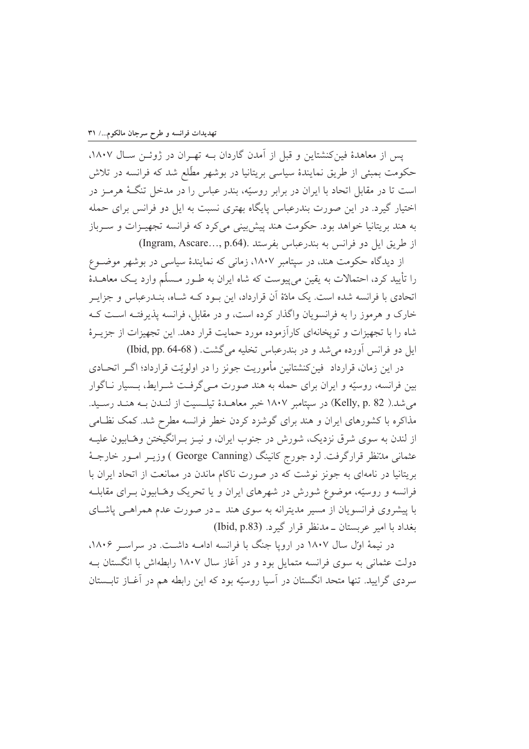یس از معاهدهٔ فین کنشتاین و قبل از آمدن گاردان بـه تهـران در ژوئـن سـال ۱۸۰۷، حکومت بمبئی از طریق نمایندهٔ سیاسی بریتانیا در بوشهر مطّلع شد که فرانسه در تلاش است تا در مقابل اتحاد با ایران در برابر روسیّه، بندر عباس را در مدخل تنگهٔ هرمـز در اختیار گیرد. در این صورت بندرعباس پایگاه بهتری نسبت به ایل دو فرانس برای حمله به هند بریتانیا خواهد بود. حکومت هند پیش بینی می کرد که فرانسه تجهیــزات و ســرباز از طريق ايل دو فرانس به بندرعباس بفرستد .(Ingram, Ascare..., p.64)

از دیدگاه حکومت هند، در سپتامبر ۱۸۰۷، زمانی که نمایندهٔ سیاسی در بوشهر موضوع را تأیید کرد، احتمالات به یقین می پیوست که شاه ایران به طـور مـسلّم وارد یـک معاهـدهٔ اتحادی با فرانسه شده است. یک مادّهٔ آن قرارداد، این سود کبه شباه، بنیدرعباس و جزای خارک و هرموز را به فرانسویان واگذار کرده است، و در مقابل، فرانسه پذیرفتـه اسـت کـه شاه را با تجهیزات و تویخانهای کارآزموده مورد حمایت قرار دهد. این تجهیزات از جزیــرهٔ ايل دو فرانس آورده مي شد و در بندرعباس تخليه مي گشت. ( Ibid, pp. 64-68)

در این زمان، قرارداد ً فین کنشتانین مأموریت جونز را در اولوپّت قرارداد؛ اگـر اتحـادی بین فرانسه، روسته و ایران برای حمله به هند صورت مبے گرفت شیرابط، بیسار نیاگوار می شد.( Kelly, p. 82) در سپتامبر ۱۸۰۷ خبر معاهـدهٔ تیلـسیت از لنـدن بـه هنـد رسـید. مذاکره با کشورهای ایران و هند برای گوشزد کردن خطر فرانسه مطرح شد. کمک نظامی از لندن به سوی شرق نزدیک، شورش در جنوب ایران، و نیــز بــرانگیختن وهّــابیون علیــه عثمانی مدّنظر قرارگرفت. لرد جورج کانینگ (George Canning ) وزیــر امــور خارجــهٔ بریتانیا در نامهای به جونز نوشت که در صورت ناکام ماندن در ممانعت از اتحاد ایران با فرانسه و روسیّه، موضوع شورش در شهرهای ایران و یا تحریک وهّـابیون بــرای مقابلــه با پیشروی فرانسویان از مسیر مدیترانه به سوی هند \_در صورت عدم همراهـی پاشـای بغداد با امير عربستان ــ مدنظر قرار گيرد. (Ibid, p.83)

در نیمهٔ اوّل سال ۱۸۰۷ در اروپا جنگ با فرانسه ادامـه داشـت. در سراسـر ۱۸۰۶، دولت عثمانی به سوی فرانسه متمایل بود و در آغاز سال ۱۸۰۷ رابطهاش با انگستان بــه سردی گرایید. تنها متحد انگستان در آسیا روسیّه بود که این رابطه هم در آغــاز تابــستان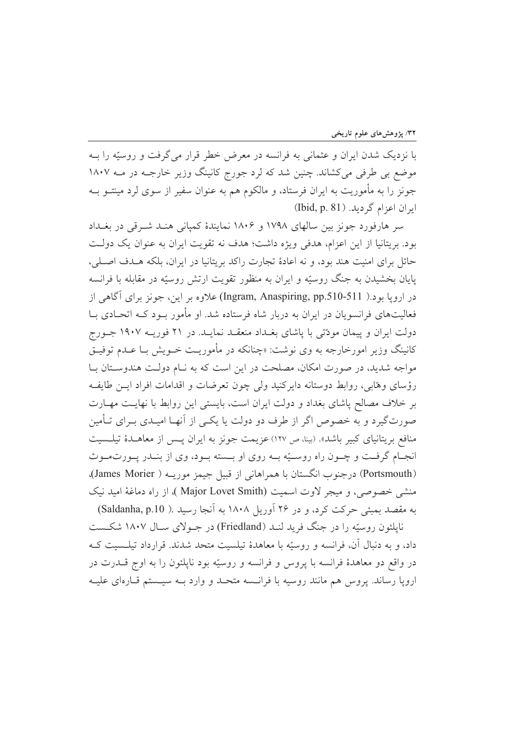با نزدیک شدن ایران و عثمانی به فرانسه در معرض خطر قرار میگرفت و روسیّه را بــه موضع بی طرفی میکشاند. چنین شد که لرد جورج کانینگ وزیر خارجـه در مــه ۱۸۰۷ جونز را به مأموریت به ایران فرستاد، و مالکوم هم به عنوان سفیر از سوی لرد مینتــو بــه ایران اعزام گردید. (Ibid, p. 81)

سر هارفورد جونز بین سالهای ۱۷۹۸ و ۱۸۰۶ نمایندهٔ کمپانی هنـد شـرقی در بغـداد بود. بریتانیا از این اعزام، هدفی ویژه داشت؛ هدف نه تقویت ایران به عنوان یک دولت حائل برای امنیت هند بود، و نه اعادهٔ تجارت راکد بریتانیا در ایران، بلکه هـدف اصـلی، پایان بخشیدن به جنگ روسیّه و ایران به منظور تقویت ارتش روسیّه در مقابله با فرانسه در اروپا بود.( Ingram, Anaspiring, pp.510-511) علاوه بر این، جونز برای آگاهی از فعالیتهای فرانسویان در ایران به دربار شاه فرستاده شد. او مأمور بود کـه اتحـادی بـا دولت ایران و پیمان مودّتی با پاشای بغـداد منعقـد نمایـد. در ۲۱ فوریـه ۱۹۰۷ جـورج کانینگ وزیر امورخارجه به وی نوشت: «چنانکه در مأموریـت خــویش بــا عــدم توفیــق مواجه شدید، در صورت امکان، مصلحت در این است که به نـام دولـت هندوسـتان بـا رؤسای وهابی، روابط دوستانه دایرکنید ولی چون تعرضات و اقدامات افراد ایــن طایفـه بر خلاف مصالح پاشای بغداد و دولت ایران است، بایستی این روابط با نهایـت مهـارت صورتگیرد و به خصوص اگر از طرف دو دولت یا یکسی از آنهـا امیـدی بــرای تــأمین منافع بريتانياي كبير باشد». (بينا، ص ١٢٧) عزيمت جونز به ايران پس از معاهـدۀ تيلـسيت انجـام گرفــت و چــون راه روســيّه بــه روى او بــسته بــود، وى از بنــدر يــورتمــوث (Portsmouth) درجنوب انگستان با همراهانی از قبیل جیمز موریـه ( James Morier)، منشى خصوصي، و ميجر لاوت اسميت (Major Lovet Smith )، از راه دماغة اميد نيک به مقصد بمبئی حرکت کرد، و در ۲۶ اَوریل ۱۸۰۸ به اَنجا رسید .( Saldanha, p.10)

نایلئون روسته را در جنگ فرید لنـد (Friedland) در جـولای سـال ۱۸۰۷ شکـست داد، و به دنبال آن، فرانسه و روسیّه با معاهدهٔ تیلسیت متحد شدند. قرارداد تیلـسیت کـه در واقع دو معاهدهٔ فرانسه با پروس و فرانسه و روسیّه بود ناپلئون را به اوج قــدرت در ارویا رساند. پروس هم مانند روسیه با فرانسه متحـد و وارد بــه سیـستم قــارهای علیــه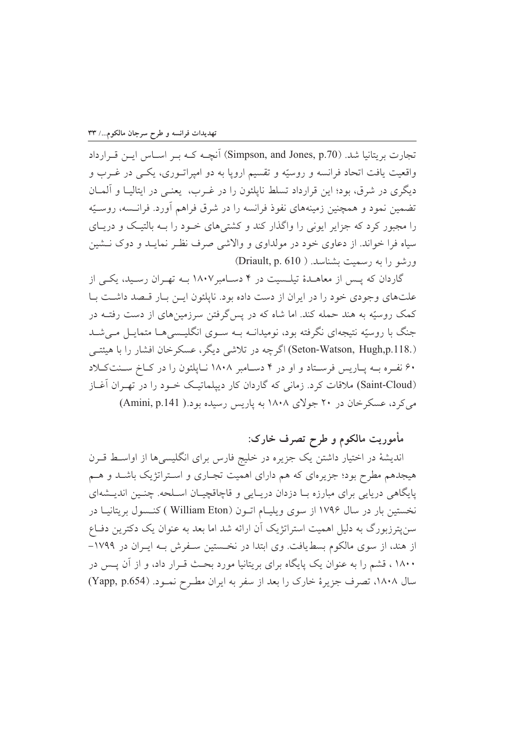تجارت بريتانيا شد. (Simpson, and Jones, p.70) آنچـه کـه بـر اسـاس ايـن قـرارداد واقعیت یافت اتحاد فرانسه و روسیّه و تقسیم اروپا به دو امیراتـوری، یکـی در غــرب و ديگري در شرق، بود؛ اين قرارداد تسلط نايلئون را در غـرب، يعنـي در ايتاليــا و آلمــان تضمین نمود و همچنین زمینههای نفوذ فرانسه را در شرق فراهم آورد. فرانسه، روسـیّه را مجبور کرد که جزایر ایونی را واگذار کند و کشتیهای خـود را بـه بالتیـک و دریـای سیاه فرا خواند. از دعاوی خود در مولداوی و والاشی صرف نظـر نمایـد و دوک نـشین ورشو را به رسمیت بشناسد. ( Driault, p. 610)

گاردان که پس از معاهـدهٔ تیلـسیت در ۴ دسـامبر ۱۸۰۷ بــه تهـران رسـید، یکــی از علتهای وجودی خود را در ایران از دست داده بود. ناپلئون اسن بیار قبصد داشت بیا کمک روسیّه به هند حمله کند. اما شاه که در پس گرفتن سرزمینهای از دست رفتــه در جنگ با روسیّه نتیجهای نگرفته بود، نومیدانــه بــه سـوی انگلیــسیِهــا متمایــل مــیشــد (Seton-Watson, Hugh,p.118.) اگرچه در تلاشی دیگر، عسکرخان افشار را با هیئتے ۶۰ نفـره بـه پـاریس فرسـتاد و او در ۴ دسـامبر ۱۸۰۸ نـایلئون را در کـاخ سـنتکـلاد (Saint-Cloud) ملاقات کرد. زمانی که گاردان کار دیپلماتیک خبود را در تهیران آغیاز مي كرد، عسكرخان در ۲۰ جولاي ۱۸۰۸ به ياريس رسيده بود.( Amini, p.141)

مأموریت مالکوم و طرح تصرف خارک:

اندیشهٔ در اختیار داشتن یک جزیره در خلیج فارس برای انگلیسیها از اواسـط قــرن هیجدهم مطرح بود؛ جزیرهای که هم دارای اهمیت تجـاری و اسـتراتژیک باشـد و هــم پایگاهی دریایی برای مبارزه بـا دزدان دریـایی و قاچاقچیـان اسـلحه. چنـین اندیـشهای نخستین بار در سال ۱۷۹۶ از سوی ویلیـام اتـون ( William Eton ) کنـسول بریتانیـا در سن پترزبورگ به دلیل اهمیت استراتژیک آن ارائه شد اما بعد به عنوان یک دکترین دفـاع از هند، از سوی مالکوم بسطیافت. وی ابتدا در نخستین سـفرش بـه ایـران در ۱۷۹۹– ۱۸۰۰، قشم را به عنوان یک پایگاه برای بریتانیا مورد بحث قـرار داد، و از آن پــس در سال ۱۸۰۸، تصرف جزیرهٔ خارک را بعد از سفر به ایران مطـرح نمـود. (Yapp, p.654)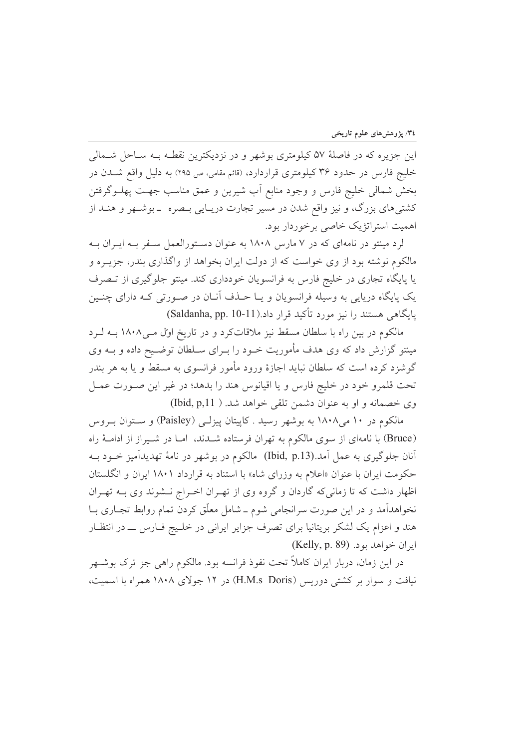این جزیره که در فاصلهٔ ۵۷ کیلومتری بوشهر و در نزدیکترین نقطـه بـه سـاحل شـمالی خلیج فارس در حدود ۳۶ کیلومتری قراردارد، (قائم مقامی، ص ۲۹۵) به دلیل واقع شــدن در بخش شمالي خليج فارس و وجود منابع أب شيرين و عمق مناسب جهت پهلــوگرفتن کشتی های بزرگ، و نیز واقع شدن در مسیر تجارت دریـایی بـصره بـ بوشـهر و هنـد از اهميت استراتژيک خاصي برخوردار بود.

لرد مینتو در نامهای که در ۷ مارس ۱۸۰۸ به عنوان دستورالعمل سـفر بـه ایـران بـه مالکوم نوشته بود از وی خواست که از دولت ایران بخواهد از واگذاری بندر، جزیـره و یا پایگاه تجاری در خلیج فارس به فرانسویان خودداری کند. مینتو جلوگیری از تـصرف یک پایگاه دریایی به وسیله فرانسویان و پــا حــذف آنــان در صــورتی کــه دارای چنــین یایگاهی هستند را نیز مورد تأکید قرار داد.(Saldanha, pp. 10-11)

مالکوم در بین راه با سلطان مسقط نیز ملاقاتکرد و در تاریخ اول مـی۱۸۰۸ بـه لـرد مینتو گزارش داد که وی هدف مأموریت خـود را بـرای سـلطان توضـیح داده و بــه وی گوشزد کرده است که سلطان نباید اجازهٔ ورود مأمور فرانسوی به مسقط و یا به هر بندر تحت قلمرو خود در خليج فارس و يا اقيانوس هند را بدهد؛ در غير اين صـورت عمـل وي خصمانه و او به عنوان دشمن تلقى خواهد شد. ( Ibid, p,11)

مالکوم در ۱۰ می۱۸۰۸ به بوشهر رسید . کاییتان پیزلـی (Paisley) و سـتوان بـروس (Bruce) با نامهای از سوی مالکوم به تهران فرستاده شـدند، امـا در شـيراز از ادامـهٔ راه آنان جلوگیری به عمل آمد.(Ibid, p.13) مالکوم در بوشهر در نامهٔ تهدیدآمیز خــود بــه حکومت ایران با عنوان «اعلام به وزرای شاه» با استناد به قرارداد ۱۸۰۱ ایران و انگلستان اظهار داشت که تا زمانیکه گاردان و گروه وی از تهـران اخـراج نــشوند وی بــه تهـران نخواهداًمد و در این صورت سرانجامی شوم ـ شامل معلّق کردن تمام روابط تجـاری بـا هند و اعزام یک لشکر بریتانیا برای تصرف جزایر ایرانی در خلـیج فـارس ـــ در انتظـار ايران خواهد بود. (Kelly, p. 89)

در این زمان، دربار ایران کاملاً تحت نفوذ فرانسه بود. مالکوم راهی جز ترک بوشــهر نیافت و سوار بر کشتی دوریس (H.M.s Doris) در ۱۲ جولای ۱۸۰۸ همراه با اسمیت،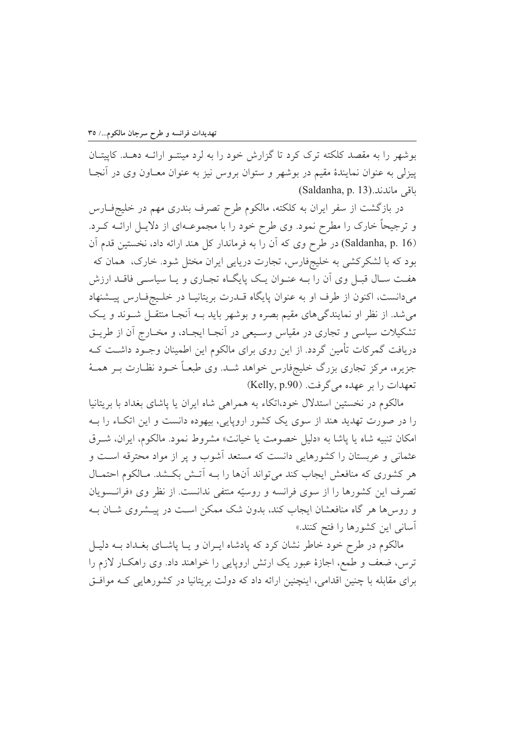بوشهر را به مقصد کلکته ترک کرد تا گزارش خود را به لرد مینتـو ارائــه دهــد. کاییتــان پیزلی به عنوان نمایندهٔ مقیم در بوشهر و ستوان بروس نیز به عنوان معـاون وی در آنجـا (Saldanha, p. 13).داقى ماندند

در بازگشت از سفر ایران به کلکته، مالکوم طرح تصرف بندری مهم در خلیجفارس و ترجیحاً خارک را مطرح نمود. وی طرح خود را با مجموعـهای از دلایـل ارائــه کــرد. (Saldanha, p. 16) در طرح وي كه آن را به فرماندار كل هند ارائه داد، نخستين قدم آن بود که با لشکرکشی به خلیجفارس، تجارت دریایی ایران مختل شود. خارک، همان که هفت سـال قبـل وي أن را بــه عنــوان يــک پايگــاه تجــاري و يــا سياســي فاقــد ارزش میدانست، اکنون از طرف او به عنوان پایگاه قــدرت بریتانیــا در خلــیجفـارس پیــشنهاد می شد. از نظر او نمایندگی های مقیم بصره و بوشهر باید بـه آنجـا منتقـل شـوند و یـک تشکیلات سیاسی و تجاری در مقیاس وسـیعی در آنجـا ایجـاد، و مخـارج آن از طریــق دریافت گمرکات تأمین گردد. از این روی برای مالکوم این اطمینان وجـود داشــت کــه جزیره، مرکز تجاری بزرگ خلیجفارس خواهد شـد. وی طبعـاً خــود نظــارت بــر همــهٔ تعهدات را بر عهده می گرفت. (Kelly, p.90)

مالکوم در نخستین استدلال خود،اتکاء به همراهی شاه ایران یا پاشای بغداد با بریتانیا را در صورت تهدید هند از سوی یک کشور اروپایی، بیهوده دانست و این اتکاء را بـه امكان تنبيه شاه يا پاشا به «دليل خصومت يا خيانت» مشروط نمود. مالكوم، ايران، شرق عثمانی و عربستان را کشورهایی دانست که مستعد آشوب و پر از مواد محترقه است و هر کشوری که منافعش ایجاب کند می تواند آنها را بـه اَتـش بکـشد. مـالکوم احتمـال تصرف این کشورها را از سوی فرانسه و روسیّه منتفی ندانست. از نظر وی «فرانسویان و روس ها هر گاه منافعشان ایجاب کند، بدون شک ممکن است در پیـشروی شــان بــه آسانی این کشورها را فتح کنند.»

مالکوم در طرح خود خاطر نشان کرد که پادشاه ایـران و یـا پاشـای بغـداد بــه دلیـل ترس، ضعف و طمع، اجازهٔ عبور یک ارتش اروپایی را خواهند داد. وی راهکار لازم را برای مقابله با چنین اقدامی، اینچنین ارائه داد که دولت بریتانیا در کشورهایی کـه موافـق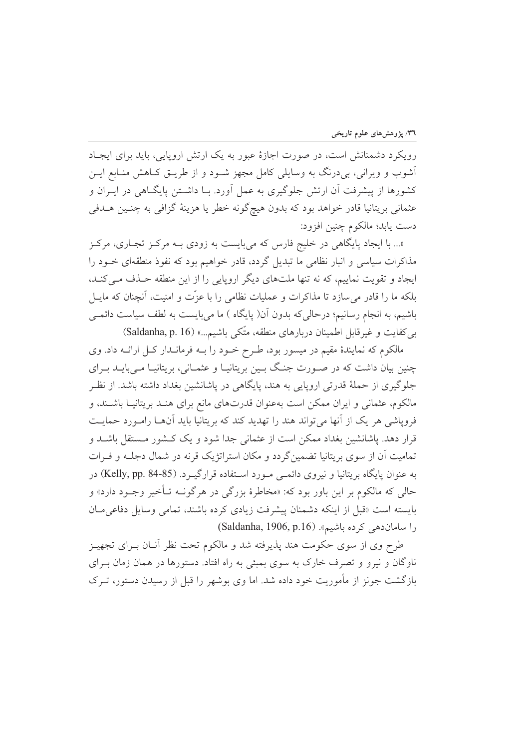رویکرد دشمنانش است، در صورت اجازهٔ عبور به یک ارتش اروپایی، باید برای ایجـاد آشوب و ویرانی، بی درنگ به وسایلی کامل مجهز شـود و از طریــق کــاهش منــابع ایــن کشورها از پیشرفت آن ارتش جلوگیری به عمل آورد. بـا داشــتن پایگــاهی در ایــران و عثماني بريتانيا قادر خواهد بود كه بدون هيچگونه خطر يا هزينهٔ گزافي به چنـين هــدفي دست يابد؛ مالكوم چنين افزود:

«... با ایجاد پایگاهی در خلیج فارس که میبایست به زودی بـه مرکـز تجـاری، مرکـز مذاکرات سیاسی و انبار نظامی ما تبدیل گردد، قادر خواهیم بود که نفوذ منطقهای خـود را ایجاد و تقویت نماییم، که نه تنها ملتهای دیگر اروپایی را از این منطقه حـذف مـی کنـد، بلکه ما را قادر می سازد تا مذاکرات و عملیات نظامی را با عزّت و امنیت، آنچنان که مایــل باشیم، به انجام رسانیم؛ درحالی که بدون آن( پایگاه ) ما میبایست به لطف سیاست دائمی بی کفایت و غیرقابل اطمینان دربارهای منطقه، متّکی باشیم...» (Saldanha, p. 16)

مالکوم که نمایندهٔ مقیم در میسور بود، طـرح خـود را بـه فرمانـدار کـل ارائـه داد. وی چنین بیان داشت که در صـورت جنگ بـین بریتانیـا و عثمـانی، بریتانیـا مـیبایـد بـرای جلوگیری از حملهٔ قدرتی اروپایی به هند، پایگاهی در پاشانشین بغداد داشته باشد. از نظـر مالکوم، عثمانی و ایران ممکن است بهعنوان قدرتهای مانع برای هنـد بریتانیـا باشـند، و فرویاشی هر یک از آنها می تواند هند را تهدید کند که بریتانیا باید آنهـا رامـورد حمایـت قرار دهد. یاشانشین بغداد ممکن است از عثمانی جدا شود و یک کـشور مـستقل باشــد و تمامیت آن از سوی بریتانیا تضمین گردد و مکان استراتژیک قرنه در شمال دجلـه و فـرات به عنوان پایگاه بریتانیا و نیروی دائمبی مـورد اسـتفاده قرارگیــرد. (Kelly, pp. 84-85) در حالي كه مالكوم بر اين باور بود كه: «مخاطرهٔ بزرگي در هرگوف تـأخير وجـود دارد» و بايسته است «قبل از اينكه دشمنان پيشرفت زيادي كرده باشند، تمامى وسايل دفاعي مـان را سامان دهی کرده باشیم». (Saldanha, 1906, p.16)

طرح وی از سوی حکومت هند پذیرفته شد و مالکوم تحت نظر آنــان بــرای تجهیــز ناوگان و نیرو و تصرف خارک به سوی بمبئی به راه افتاد. دستورها در همان زمان بـرای بازگشت جونز از مأموریت خود داده شد. اما وی بوشهر را قبل از رسیدن دستور، تــرک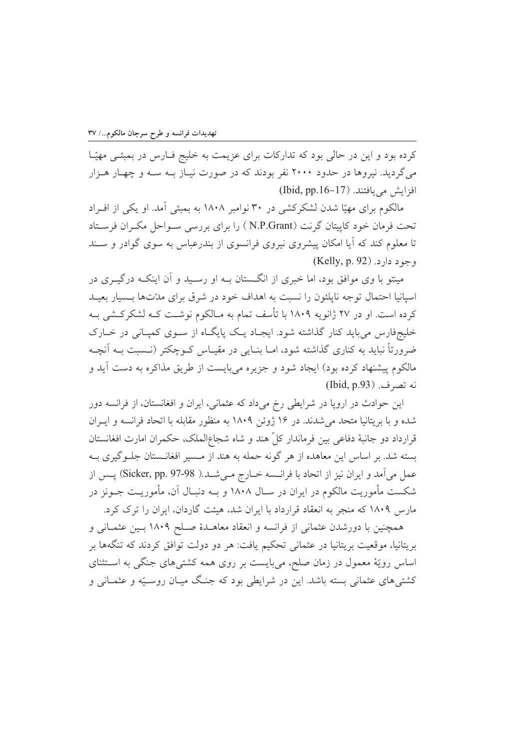کرده بود و این در حالی بود که تدارکات برای عزیمت به خلیج فـارس در بمبئـی مهیّـا می گردید. نیروها در حدود ۲۰۰۰ نفر بودند که در صورت نیـاز بــه ســه و چهـار هــزار  $(Ibid, pp.16-17)$  افزایش می بافتند.

مالکوم برای مهیّا شدن لشکرکشی در ۳۰ نوامبر ۱۸۰۸ به بمبئی آمد. او یکی از افـراد تحت فرمان خود کاییتان گرنت (N.P.Grant ) را برای بررسی سـواحل مکـران فرسـتاد تا معلوم کند که آیا امکان پیشروی نیروی فرانسوی از بندرعباس به سوی گوادر و سـند  $(Kelly, p. 92)$ . وجود دارد

مینتو با وی موافق بود، اما خبری از انگستان بــه او رســید و آن اینکــه درگیــری در اسیانیا احتمال توجه ناپلئون را نسبت به اهداف خود در شرق برای مدّتها بـسیار بعیـد کرده است. او در ۲۷ ژانویه ۱۸۰۹ با تأسف تمام به مـالکوم نوشـت کـه لشکرکـشی بـه خلیجفارس می باید کنار گذاشته شود. ایجاد یک پایگاه از سـوی کمپـانی در خـارک ضرورتاً نباید به کناری گذاشته شود، امــا بنــایی در مقیــاس کــوچکتر (نــسبت بــه اَنچــه مالکوم پیشنهاد کرده بود) ایجاد شود و جزیره می بایست از طریق مذاکره به دست آید و نه تصرف. (Ibid, p.93)

این حوادث در اروپا در شرایطی رخ میداد که عثمانی، ایران و افغانستان، از فرانسه دور شده و با بریتانیا متحد می شدند. در ۱۶ ژوئن ۱۸۰۹ به منظور مقابله با اتحاد فرانسه و ایـران قرارداد دو جانبهٔ دفاعی بین فرماندار کلّ هند و شاه شجاع|لملک، حکمران امارت افغانستان بسته شد. بر اساس این معاهده از هر گونه حمله به هند از مـسیر افغانـستان جلـوگیری بـه عمل مي آمد و ايران نيز از اتحاد با فرانـسه خــارج مــيشــد.( Sicker, pp. 97-98) پــس از شکست مأموریت مالکوم در ایران در ســال ۱۸۰۸ و بــه دنبــال آن، مأموریــت جــونز در مارس ۱۸۰۹ که منجر به انعقاد قرارداد با ایران شد، هیئت گاردان، ایران را ترک کرد.

همچنین با دورشدن عثمانی از فرانسه و انعقاد معاهـدهٔ صـلح ۱۸۰۹ بـین عثمـانی و بریتانیا، موقعیت بریتانیا در عثمانی تحکیم یافت: هر دو دولت توافق کردند که تنگهها بر اساس رویّهٔ معمول در زمان صلح، میبایست بر روی همه کشتیهای جنگی به استثنای کشتی های عثمانی بسته باشد. این در شرایطی بود که جنگ میـان روسـیّه و عثمـانی و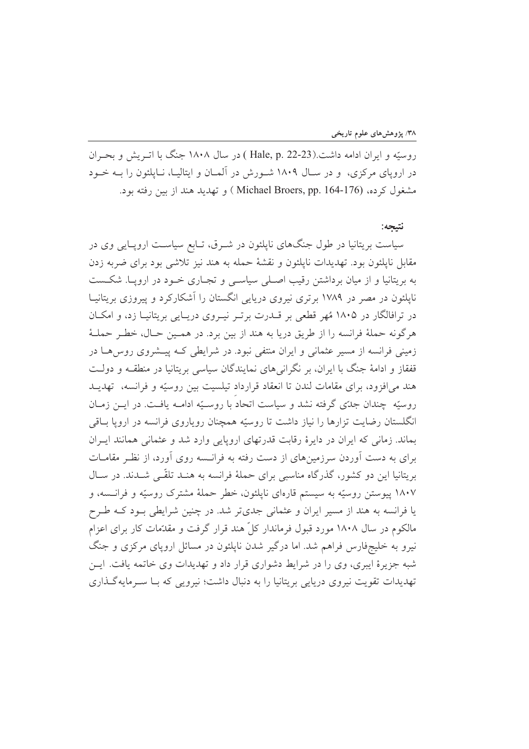روسيّه و ايران ادامه داشت.(Hale, p. 22-23 ) در سال ۱۸۰۸ جنگ با اتـريش و بحـران در اروپای مرکزی، و در سـال ۱۸۰۹ شـورش در آلمـان و ایتالیـا، نـایلئون را بــه خــود مشغول کرده، (Michael Broers, pp. 164-176 ) و تهدید هند از بین رفته بود.

## نتيجه:

سیاست بریتانیا در طول جنگهای ناپلئون در شـرق، تـابع سیاسـت اروپـایی وی در مقابل نایلئون بود. تهدیدات نایلئون و نقشهٔ حمله به هند نیز تلاشی بود برای ضربه زدن به بریتانیا و از میان برداشتن رقیب اصلی سیاسبی و تجـاری خـود در اروپــا. شکــست نایلئون در مصر در ۱۷۸۹ برتری نیروی دریایی انگستان را آشکارکرد و پیروزی بریتانیــا در ترافالگار در ۱۸۰۵ مُهر قطعی بر قــدرت برتــر نیــروی دریــایی بریتانیــا زد، و امکــان هرگونه حملهٔ فرانسه را از طریق دریا به هند از بین برد. در همـین حـال، خطـر حملـهٔ زمینی فرانسه از مسیر عثمانی و ایران منتفی نبود. در شرایطی کـه پیـشروی روس۵ـا در قفقاز و ادامهٔ جنگ با ایران، بر نگرانی های نمایندگان سیاسی بریتانیا در منطقــه و دولــت هند می افزود، برای مقامات لندن تا انعقاد قرارداد تیلسیت بین روسیّه و فرانسه، تهدیـد روسيّه چندان جدّي گرفته نشد و سياست اتحاد با روسـيّه ادامــه يافــت. در ايــن زمــان انگلستان رضایت تزارها را نیاز داشت تا روسیّه همچنان رویاروی فرانسه در ارویا باقی بماند. زمانی که ایران در دایرهٔ رقابت قدرتهای اروپایی وارد شد و عثمانی همانند ایـران برای به دست آوردن سرزمینهای از دست رفته به فرانسته روی آورد، از نظر مقامـات بریتانیا این دو کشور، گذرگاه مناسبی برای حملهٔ فرانسه به هنـد تلقّـی شـدند. در سـال ۱۸۰۷ پیوستن روسیّه به سیستم قارهای ناپلئون، خطر حملهٔ مشترک روسیّه و فرانسته، و یا فرانسه به هند از مسیر ایران و عثمانی جدیتر شد. در چنین شرایطی بود کـه طـرح مالکوم در سال ۱۸۰۸ مورد قبول فرماندار کلّ هند قرار گرفت و مقدّمات کار برای اعزام نیرو به خلیجفارس فراهم شد. اما درگیر شدن نایلئون در مسائل اروپای مرکزی و جنگ شبه جزیرهٔ ایبری، وی را در شرایط دشواری قرار داد و تهدیدات وی خاتمه یافت. ایــن تهدیدات تقویت نیروی دریایی بریتانیا را به دنبال داشت؛ نیرویی که بـا سـرمایهگـذاری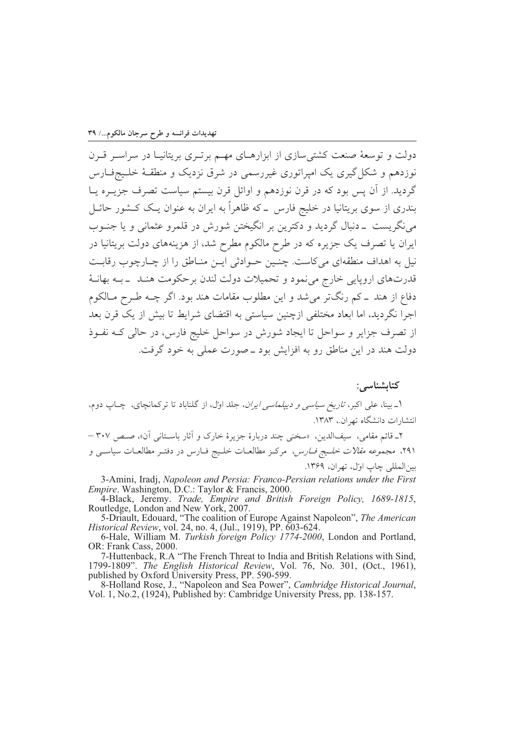دولت و توسعهٔ صنعت کشتی سازی از ابزارهـای مهـم برتـری بریتانیـا در سراسـر قـرن نوزدهم و شکل گیری یک امیراتوری غیررسمی در شرق نزدیک و منطقـهٔ خلـیجفـارس گردید. از آن پس بود که در قرن نوزدهم و اوائل قرن بیستم سیاست تصرف جزیــره یــا بندری از سوی بریتانیا در خلیج فارس \_ که ظاهراً به ایران به عنوان یـک کــشور حائــل مي نگريست \_دنبال گرديد و دکترين بر انگيختن شورش در قلمرو عثماني و يا جنـوب ایران یا تصرف یک جزیره که در طرح مالکوم مطرح شد، از هزینههای دولت بریتانیا در نیل به اهداف منطقهای میکاست. چنس حوادثی ایــن منـاطق را از چـارچوب رقابـت قدرتهاي اروپايي خارج مي نمود و تحميلات دولت لندن برحكومت هنـد \_بـه بهانـهٔ دفاع از هند ــ کم رنگتر میشد و این مطلوب مقامات هند بود. اگر چــه طـرح مــالکوم اجرا نگردید، اما ابعاد مختلفی ازچنین سیاستی به اقتضای شرایط تا بیش از یک قرن بعد از تصرف جزایر و سواحل تا ایجاد شورش در سواحل خلیج فارس، در حالی کـه نفـوذ دولت هند در این مناطق رو به افزایش بود ــ صورت عملی به خود گرفت.

كتاىشناسى: ۱ـ بینا، علی اکبر، *تاریخ سیاسی و دیپلماسی ایران*، جلد اوّل، از گلناباد تا ترکمانچای، چـاپ دوم، انتشارات دانشگاه تهران.، ۱۳۸۳. ۲\_ قائم مقامی، سیفالدین، «سخنی چند دربارهٔ جزیرهٔ خارک و آثار باستانی آن»، صصر ۳۰۷ – ٬۲۹۱ مجم*وعه مقالات خلیج فـارس*، مرکـز مطالعـات خلـیج فـارس در دفتـر مطالعـات سیاســی و

بين|لمللي چاپ اول، تهران، ١٣۶٩.

3-Amini, Iradj, Napoleon and Persia: Franco-Persian relations under the First

Empire. Washington, D.C.: Taylor & Francis, 2000.<br>4-Black, Jeremy. *Trade, Empire and British Foreign Policy, 1689-1815*,<br>Routledge, London and New York, 2007.

5-Driault, Edouard, "The coalition of Europe Against Napoleon", The American *Historical Review*, vol. 24, no. 4, (Jul., 1919), PP. 603-624.<br>6-Hale, William M. *Turkish foreign Policy 1774-2000*, London and Portland,

OR: Frank Cass, 2000.

7-Huttenback, R.A "The French Threat to India and British Relations with Sind, 1799-1809". The English Historical Review, Vol. 76, No. 301, (Oct., 1961), published by Oxford University Press, PP. 590-599.

8-Holland Rose, J., "Napoleon and Sea Power", Cambridge Historical Journal, Vol. 1, No.2, (1924), Published by: Cambridge University Press, pp. 138-157.